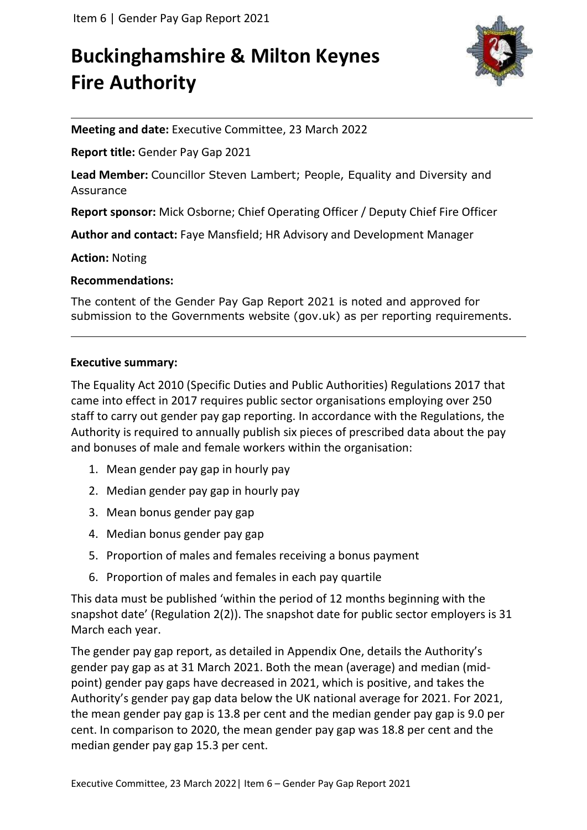# **Buckinghamshire & Milton Keynes Fire Authority**



**Meeting and date:** Executive Committee, 23 March 2022

**Report title:** Gender Pay Gap 2021

**Lead Member:** Councillor Steven Lambert; People, Equality and Diversity and Assurance

**Report sponsor:** Mick Osborne; Chief Operating Officer / Deputy Chief Fire Officer

**Author and contact:** Faye Mansfield; HR Advisory and Development Manager

**Action:** Noting

#### **Recommendations:**

The content of the Gender Pay Gap Report 2021 is noted and approved for submission to the Governments website (gov.uk) as per reporting requirements.

#### **Executive summary:**

The Equality Act 2010 (Specific Duties and Public Authorities) Regulations 2017 that came into effect in 2017 requires public sector organisations employing over 250 staff to carry out gender pay gap reporting. In accordance with the Regulations, the Authority is required to annually publish six pieces of prescribed data about the pay and bonuses of male and female workers within the organisation:

- 1. Mean gender pay gap in hourly pay
- 2. Median gender pay gap in hourly pay
- 3. Mean bonus gender pay gap
- 4. Median bonus gender pay gap
- 5. Proportion of males and females receiving a bonus payment
- 6. Proportion of males and females in each pay quartile

This data must be published 'within the period of 12 months beginning with the snapshot date' (Regulation 2(2)). The snapshot date for public sector employers is 31 March each year.

The gender pay gap report, as detailed in Appendix One, details the Authority's gender pay gap as at 31 March 2021. Both the mean (average) and median (midpoint) gender pay gaps have decreased in 2021, which is positive, and takes the Authority's gender pay gap data below the UK national average for 2021. For 2021, the mean gender pay gap is 13.8 per cent and the median gender pay gap is 9.0 per cent. In comparison to 2020, the mean gender pay gap was 18.8 per cent and the median gender pay gap 15.3 per cent.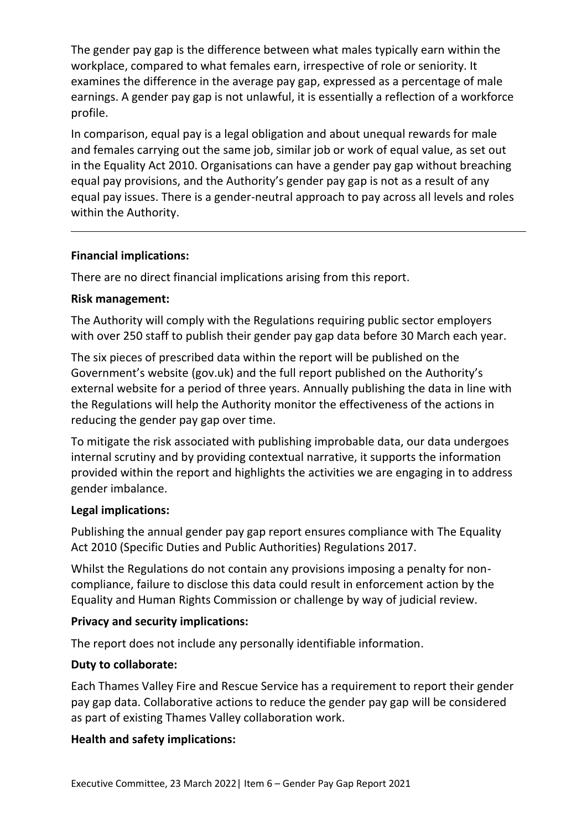The gender pay gap is the difference between what males typically earn within the workplace, compared to what females earn, irrespective of role or seniority. It examines the difference in the average pay gap, expressed as a percentage of male earnings. A gender pay gap is not unlawful, it is essentially a reflection of a workforce profile.

In comparison, equal pay is a legal obligation and about unequal rewards for male and females carrying out the same job, similar job or work of equal value, as set out in the Equality Act 2010. Organisations can have a gender pay gap without breaching equal pay provisions, and the Authority's gender pay gap is not as a result of any equal pay issues. There is a gender-neutral approach to pay across all levels and roles within the Authority.

#### **Financial implications:**

There are no direct financial implications arising from this report.

#### **Risk management:**

The Authority will comply with the Regulations requiring public sector employers with over 250 staff to publish their gender pay gap data before 30 March each year.

The six pieces of prescribed data within the report will be published on the Government's website (gov.uk) and the full report published on the Authority's external website for a period of three years. Annually publishing the data in line with the Regulations will help the Authority monitor the effectiveness of the actions in reducing the gender pay gap over time.

To mitigate the risk associated with publishing improbable data, our data undergoes internal scrutiny and by providing contextual narrative, it supports the information provided within the report and highlights the activities we are engaging in to address gender imbalance.

#### **Legal implications:**

Publishing the annual gender pay gap report ensures compliance with The Equality Act 2010 (Specific Duties and Public Authorities) Regulations 2017.

Whilst the Regulations do not contain any provisions imposing a penalty for noncompliance, failure to disclose this data could result in enforcement action by the Equality and Human Rights Commission or challenge by way of judicial review.

#### **Privacy and security implications:**

The report does not include any personally identifiable information.

#### **Duty to collaborate:**

Each Thames Valley Fire and Rescue Service has a requirement to report their gender pay gap data. Collaborative actions to reduce the gender pay gap will be considered as part of existing Thames Valley collaboration work.

#### **Health and safety implications:**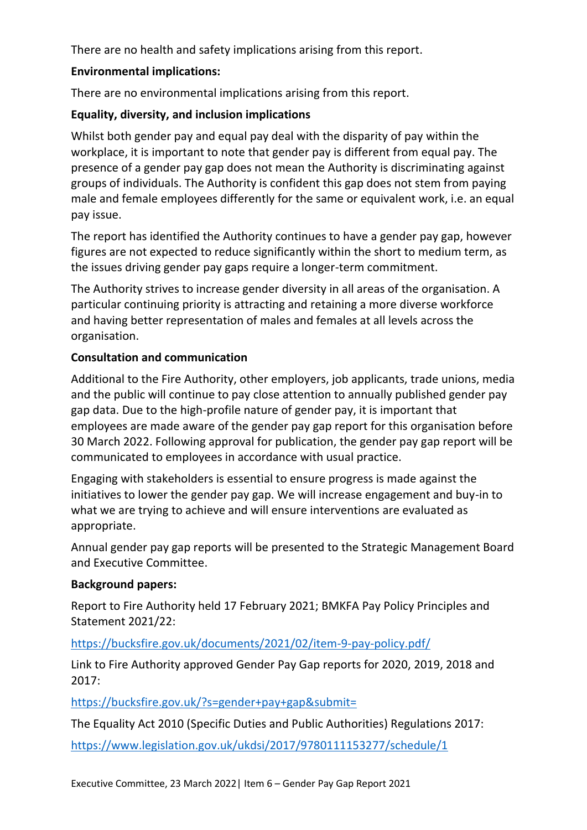There are no health and safety implications arising from this report.

### **Environmental implications:**

There are no environmental implications arising from this report.

### **Equality, diversity, and inclusion implications**

Whilst both gender pay and equal pay deal with the disparity of pay within the workplace, it is important to note that gender pay is different from equal pay. The presence of a gender pay gap does not mean the Authority is discriminating against groups of individuals. The Authority is confident this gap does not stem from paying male and female employees differently for the same or equivalent work, i.e. an equal pay issue.

The report has identified the Authority continues to have a gender pay gap, however figures are not expected to reduce significantly within the short to medium term, as the issues driving gender pay gaps require a longer-term commitment.

The Authority strives to increase gender diversity in all areas of the organisation. A particular continuing priority is attracting and retaining a more diverse workforce and having better representation of males and females at all levels across the organisation.

### **Consultation and communication**

Additional to the Fire Authority, other employers, job applicants, trade unions, media and the public will continue to pay close attention to annually published gender pay gap data. Due to the high-profile nature of gender pay, it is important that employees are made aware of the gender pay gap report for this organisation before 30 March 2022. Following approval for publication, the gender pay gap report will be communicated to employees in accordance with usual practice.

Engaging with stakeholders is essential to ensure progress is made against the initiatives to lower the gender pay gap. We will increase engagement and buy-in to what we are trying to achieve and will ensure interventions are evaluated as appropriate.

Annual gender pay gap reports will be presented to the Strategic Management Board and Executive Committee.

#### **Background papers:**

Report to Fire Authority held 17 February 2021; BMKFA Pay Policy Principles and Statement 2021/22:

## <https://bucksfire.gov.uk/documents/2021/02/item-9-pay-policy.pdf/>

Link to Fire Authority approved Gender Pay Gap reports for 2020, 2019, 2018 and 2017:

<https://bucksfire.gov.uk/?s=gender+pay+gap&submit=>

The Equality Act 2010 (Specific Duties and Public Authorities) Regulations 2017:

<https://www.legislation.gov.uk/ukdsi/2017/9780111153277/schedule/1>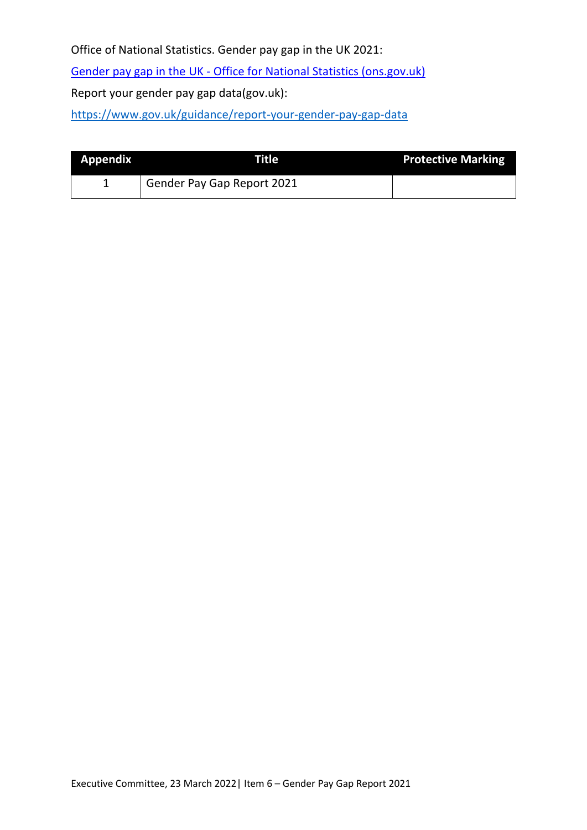Office of National Statistics. Gender pay gap in the UK 2021:

Gender pay gap in the UK - [Office for National Statistics \(ons.gov.uk\)](https://www.ons.gov.uk/employmentandlabourmarket/peopleinwork/earningsandworkinghours/bulletins/genderpaygapintheuk/2021)

Report your gender pay gap data(gov.uk):

<https://www.gov.uk/guidance/report-your-gender-pay-gap-data>

| Appendix | Titlel                     | <b>Protective Marking</b> |
|----------|----------------------------|---------------------------|
|          | Gender Pay Gap Report 2021 |                           |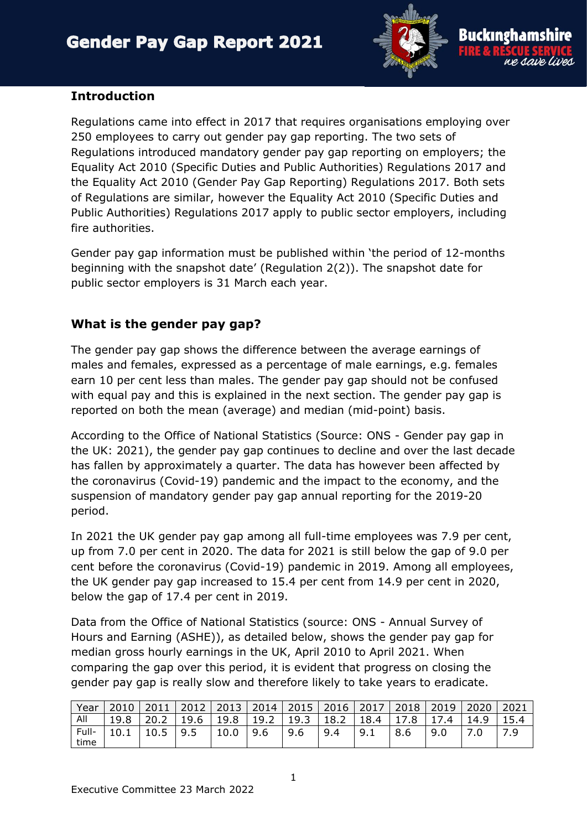

### **Introduction**

Regulations came into effect in 2017 that requires organisations employing over 250 employees to carry out gender pay gap reporting. The two sets of Regulations introduced mandatory gender pay gap reporting on employers; the Equality Act 2010 (Specific Duties and Public Authorities) Regulations 2017 and the Equality Act 2010 (Gender Pay Gap Reporting) Regulations 2017. Both sets of Regulations are similar, however the Equality Act 2010 (Specific Duties and Public Authorities) Regulations 2017 apply to public sector employers, including fire authorities.

Gender pay gap information must be published within 'the period of 12-months beginning with the snapshot date' (Regulation 2(2)). The snapshot date for public sector employers is 31 March each year.

# **What is the gender pay gap?**

The gender pay gap shows the difference between the average earnings of males and females, expressed as a percentage of male earnings, e.g. females earn 10 per cent less than males. The gender pay gap should not be confused with equal pay and this is explained in the next section. The gender pay gap is reported on both the mean (average) and median (mid-point) basis.

According to the Office of National Statistics (Source: ONS - Gender pay gap in the UK: 2021), the gender pay gap continues to decline and over the last decade has fallen by approximately a quarter. The data has however been affected by the coronavirus (Covid-19) pandemic and the impact to the economy, and the suspension of mandatory gender pay gap annual reporting for the 2019-20 period.

In 2021 the UK gender pay gap among all full-time employees was 7.9 per cent, up from 7.0 per cent in 2020. The data for 2021 is still below the gap of 9.0 per cent before the coronavirus (Covid-19) pandemic in 2019. Among all employees, the UK gender pay gap increased to 15.4 per cent from 14.9 per cent in 2020, below the gap of 17.4 per cent in 2019.

Data from the Office of National Statistics (source: ONS - Annual Survey of Hours and Earning (ASHE)), as detailed below, shows the gender pay gap for median gross hourly earnings in the UK, April 2010 to April 2021. When comparing the gap over this period, it is evident that progress on closing the gender pay gap is really slow and therefore likely to take years to eradicate.

| Year  | 2010 | 2011 | $\vert$ 2012   2013   2014 |      |      |      |      | 2015   2016   2017 | 2018 | 2019 | 2020 | 2021 |
|-------|------|------|----------------------------|------|------|------|------|--------------------|------|------|------|------|
| All   | 19.8 | 20.2 | 19.6                       | 19.8 | 19.2 | 19.3 | 18.2 | 18.4               | 17.8 | .4   | 14.9 |      |
| Full- | 10.1 | 10.5 | 9.5                        | 10.0 | 9.6  | 9.6  | 9.4  | 9.1                | 8.6  | 9.0  |      | 7 G. |
| time  |      |      |                            |      |      |      |      |                    |      |      |      |      |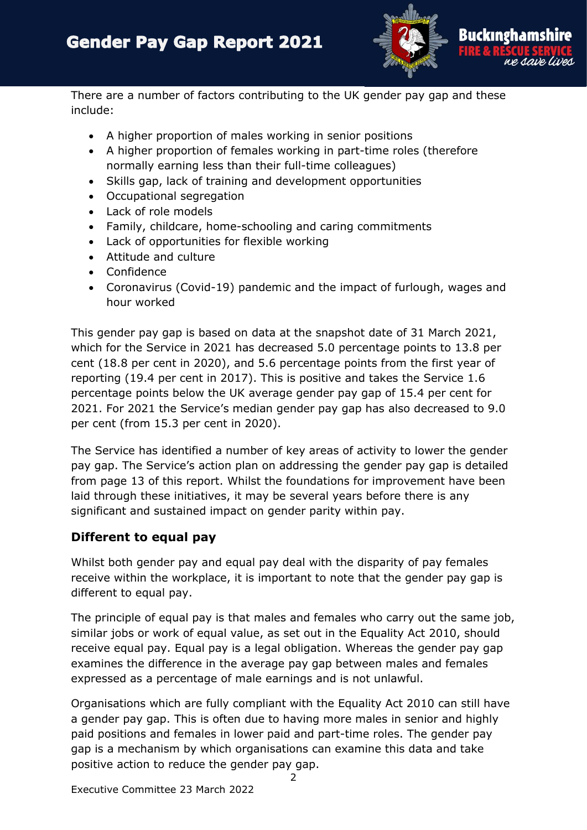

There are a number of factors contributing to the UK gender pay gap and these include:

- A higher proportion of males working in senior positions
- A higher proportion of females working in part-time roles (therefore normally earning less than their full-time colleagues)
- Skills gap, lack of training and development opportunities
- Occupational segregation
- Lack of role models
- Family, childcare, home-schooling and caring commitments
- Lack of opportunities for flexible working
- Attitude and culture
- Confidence
- Coronavirus (Covid-19) pandemic and the impact of furlough, wages and hour worked

This gender pay gap is based on data at the snapshot date of 31 March 2021, which for the Service in 2021 has decreased 5.0 percentage points to 13.8 per cent (18.8 per cent in 2020), and 5.6 percentage points from the first year of reporting (19.4 per cent in 2017). This is positive and takes the Service 1.6 percentage points below the UK average gender pay gap of 15.4 per cent for 2021. For 2021 the Service's median gender pay gap has also decreased to 9.0 per cent (from 15.3 per cent in 2020).

The Service has identified a number of key areas of activity to lower the gender pay gap. The Service's action plan on addressing the gender pay gap is detailed from page 13 of this report. Whilst the foundations for improvement have been laid through these initiatives, it may be several years before there is any significant and sustained impact on gender parity within pay.

## **Different to equal pay**

Whilst both gender pay and equal pay deal with the disparity of pay females receive within the workplace, it is important to note that the gender pay gap is different to equal pay.

The principle of equal pay is that males and females who carry out the same job, similar jobs or work of equal value, as set out in the Equality Act 2010, should receive equal pay. Equal pay is a legal obligation. Whereas the gender pay gap examines the difference in the average pay gap between males and females expressed as a percentage of male earnings and is not unlawful.

Organisations which are fully compliant with the Equality Act 2010 can still have a gender pay gap. This is often due to having more males in senior and highly paid positions and females in lower paid and part-time roles. The gender pay gap is a mechanism by which organisations can examine this data and take positive action to reduce the gender pay gap.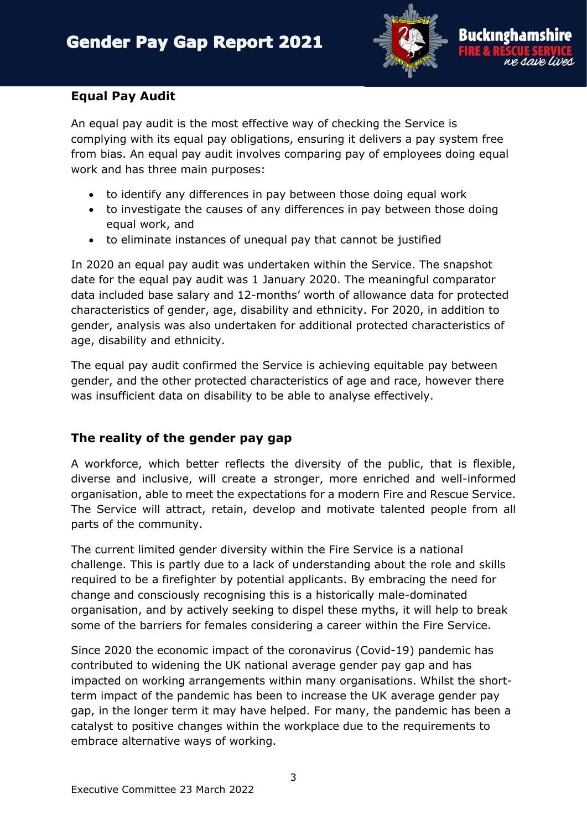

#### **Equal Pay Audit**

An equal pay audit is the most effective way of checking the Service is complying with its equal pay obligations, ensuring it delivers a pay system free from bias. An equal pay audit involves comparing pay of employees doing equal work and has three main purposes:

- to identify any differences in pay between those doing equal work
- to investigate the causes of any differences in pay between those doing equal work, and
- to eliminate instances of unequal pay that cannot be justified

In 2020 an equal pay audit was undertaken within the Service. The snapshot date for the equal pay audit was 1 January 2020. The meaningful comparator data included base salary and 12-months' worth of allowance data for protected characteristics of gender, age, disability and ethnicity. For 2020, in addition to gender, analysis was also undertaken for additional protected characteristics of age, disability and ethnicity.

The equal pay audit confirmed the Service is achieving equitable pay between gender, and the other protected characteristics of age and race, however there was insufficient data on disability to be able to analyse effectively.

## **The reality of the gender pay gap**

A workforce, which better reflects the diversity of the public, that is flexible, diverse and inclusive, will create a stronger, more enriched and well-informed organisation, able to meet the expectations for a modern Fire and Rescue Service. The Service will attract, retain, develop and motivate talented people from all parts of the community.

The current limited gender diversity within the Fire Service is a national challenge. This is partly due to a lack of understanding about the role and skills required to be a firefighter by potential applicants. By embracing the need for change and consciously recognising this is a historically male-dominated organisation, and by actively seeking to dispel these myths, it will help to break some of the barriers for females considering a career within the Fire Service.

Since 2020 the economic impact of the coronavirus (Covid-19) pandemic has contributed to widening the UK national average gender pay gap and has impacted on working arrangements within many organisations. Whilst the shortterm impact of the pandemic has been to increase the UK average gender pay gap, in the longer term it may have helped. For many, the pandemic has been a catalyst to positive changes within the workplace due to the requirements to embrace alternative ways of working.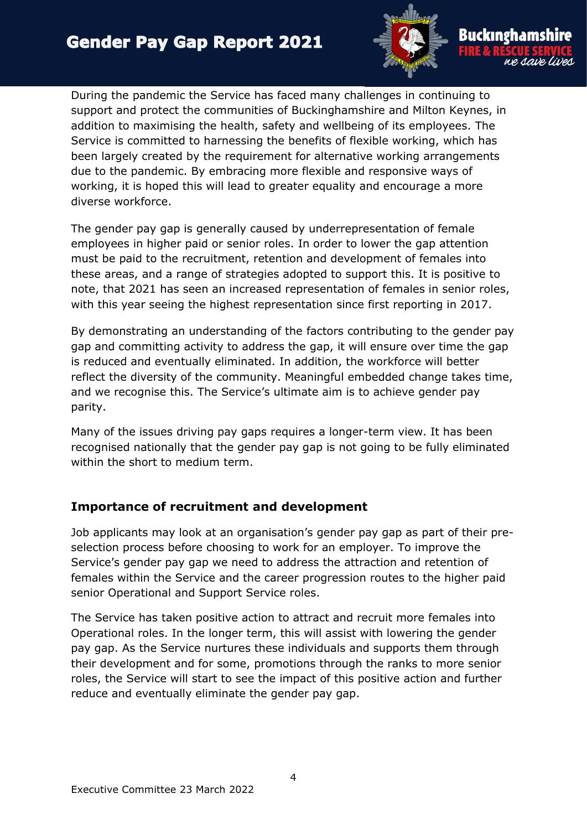

During the pandemic the Service has faced many challenges in continuing to support and protect the communities of Buckinghamshire and Milton Keynes, in addition to maximising the health, safety and wellbeing of its employees. The Service is committed to harnessing the benefits of flexible working, which has been largely created by the requirement for alternative working arrangements due to the pandemic. By embracing more flexible and responsive ways of working, it is hoped this will lead to greater equality and encourage a more diverse workforce.

The gender pay gap is generally caused by underrepresentation of female employees in higher paid or senior roles. In order to lower the gap attention must be paid to the recruitment, retention and development of females into these areas, and a range of strategies adopted to support this. It is positive to note, that 2021 has seen an increased representation of females in senior roles, with this year seeing the highest representation since first reporting in 2017.

By demonstrating an understanding of the factors contributing to the gender pay gap and committing activity to address the gap, it will ensure over time the gap is reduced and eventually eliminated. In addition, the workforce will better reflect the diversity of the community. Meaningful embedded change takes time, and we recognise this. The Service's ultimate aim is to achieve gender pay parity.

Many of the issues driving pay gaps requires a longer-term view. It has been recognised nationally that the gender pay gap is not going to be fully eliminated within the short to medium term.

## **Importance of recruitment and development**

Job applicants may look at an organisation's gender pay gap as part of their preselection process before choosing to work for an employer. To improve the Service's gender pay gap we need to address the attraction and retention of females within the Service and the career progression routes to the higher paid senior Operational and Support Service roles.

The Service has taken positive action to attract and recruit more females into Operational roles. In the longer term, this will assist with lowering the gender pay gap. As the Service nurtures these individuals and supports them through their development and for some, promotions through the ranks to more senior roles, the Service will start to see the impact of this positive action and further reduce and eventually eliminate the gender pay gap.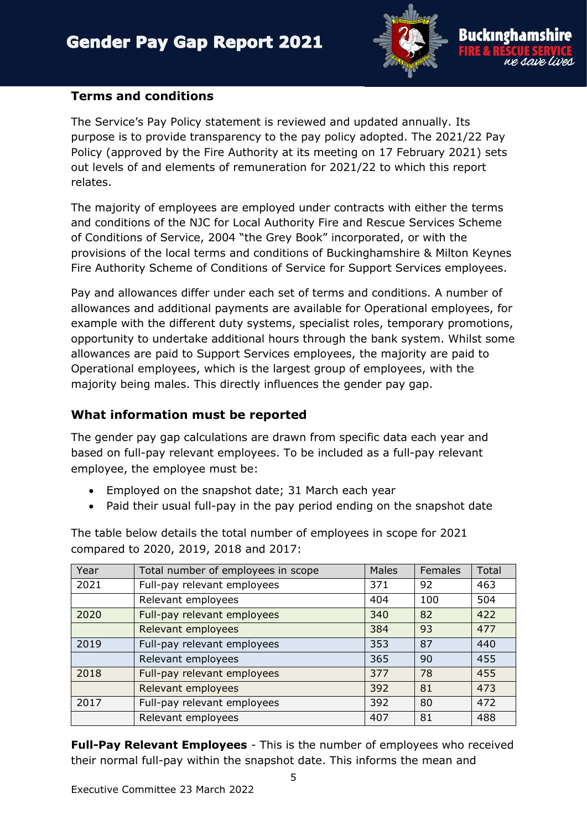

#### **Terms and conditions**

The Service's Pay Policy statement is reviewed and updated annually. Its purpose is to provide transparency to the pay policy adopted. The 2021/22 Pay Policy (approved by the Fire Authority at its meeting on 17 February 2021) sets out levels of and elements of remuneration for 2021/22 to which this report relates.

The majority of employees are employed under contracts with either the terms and conditions of the NJC for Local Authority Fire and Rescue Services Scheme of Conditions of Service, 2004 "the Grey Book" incorporated, or with the provisions of the local terms and conditions of Buckinghamshire & Milton Keynes Fire Authority Scheme of Conditions of Service for Support Services employees.

Pay and allowances differ under each set of terms and conditions. A number of allowances and additional payments are available for Operational employees, for example with the different duty systems, specialist roles, temporary promotions, opportunity to undertake additional hours through the bank system. Whilst some allowances are paid to Support Services employees, the majority are paid to Operational employees, which is the largest group of employees, with the majority being males. This directly influences the gender pay gap.

### **What information must be reported**

The gender pay gap calculations are drawn from specific data each year and based on full-pay relevant employees. To be included as a full-pay relevant employee, the employee must be:

- Employed on the snapshot date; 31 March each year
- Paid their usual full-pay in the pay period ending on the snapshot date

| Year | Total number of employees in scope | <b>Males</b> | Females | Total |
|------|------------------------------------|--------------|---------|-------|
| 2021 | Full-pay relevant employees        | 371          | 92      | 463   |
|      | Relevant employees                 | 404          | 100     | 504   |
| 2020 | Full-pay relevant employees        | 340          | 82      | 422   |
|      | Relevant employees                 | 384          | 93      | 477   |
| 2019 | Full-pay relevant employees        | 353          | 87      | 440   |
|      | Relevant employees                 | 365          | 90      | 455   |
| 2018 | Full-pay relevant employees        | 377          | 78      | 455   |
|      | Relevant employees                 | 392          | 81      | 473   |
| 2017 | Full-pay relevant employees        | 392          | 80      | 472   |
|      | Relevant employees                 | 407          | 81      | 488   |

The table below details the total number of employees in scope for 2021 compared to 2020, 2019, 2018 and 2017:

**Full-Pay Relevant Employees** - This is the number of employees who received their normal full-pay within the snapshot date. This informs the mean and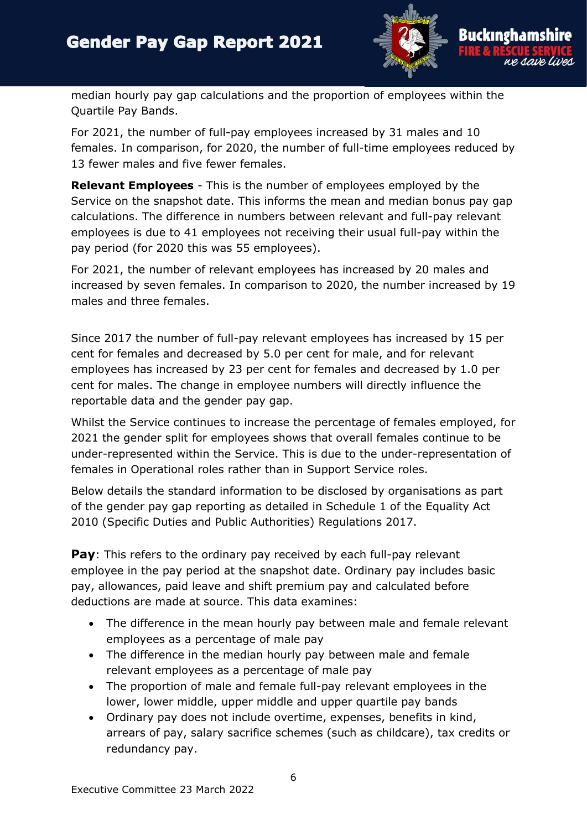

median hourly pay gap calculations and the proportion of employees within the Quartile Pay Bands.

For 2021, the number of full-pay employees increased by 31 males and 10 females. In comparison, for 2020, the number of full-time employees reduced by 13 fewer males and five fewer females.

**Relevant Employees** - This is the number of employees employed by the Service on the snapshot date. This informs the mean and median bonus pay gap calculations. The difference in numbers between relevant and full-pay relevant employees is due to 41 employees not receiving their usual full-pay within the pay period (for 2020 this was 55 employees).

For 2021, the number of relevant employees has increased by 20 males and increased by seven females. In comparison to 2020, the number increased by 19 males and three females.

Since 2017 the number of full-pay relevant employees has increased by 15 per cent for females and decreased by 5.0 per cent for male, and for relevant employees has increased by 23 per cent for females and decreased by 1.0 per cent for males. The change in employee numbers will directly influence the reportable data and the gender pay gap.

Whilst the Service continues to increase the percentage of females employed, for 2021 the gender split for employees shows that overall females continue to be under-represented within the Service. This is due to the under-representation of females in Operational roles rather than in Support Service roles.

Below details the standard information to be disclosed by organisations as part of the gender pay gap reporting as detailed in Schedule 1 of the Equality Act 2010 (Specific Duties and Public Authorities) Regulations 2017.

**Pay**: This refers to the ordinary pay received by each full-pay relevant employee in the pay period at the snapshot date. Ordinary pay includes basic pay, allowances, paid leave and shift premium pay and calculated before deductions are made at source. This data examines:

- The difference in the mean hourly pay between male and female relevant employees as a percentage of male pay
- The difference in the median hourly pay between male and female relevant employees as a percentage of male pay
- The proportion of male and female full-pay relevant employees in the lower, lower middle, upper middle and upper quartile pay bands
- Ordinary pay does not include overtime, expenses, benefits in kind, arrears of pay, salary sacrifice schemes (such as childcare), tax credits or redundancy pay.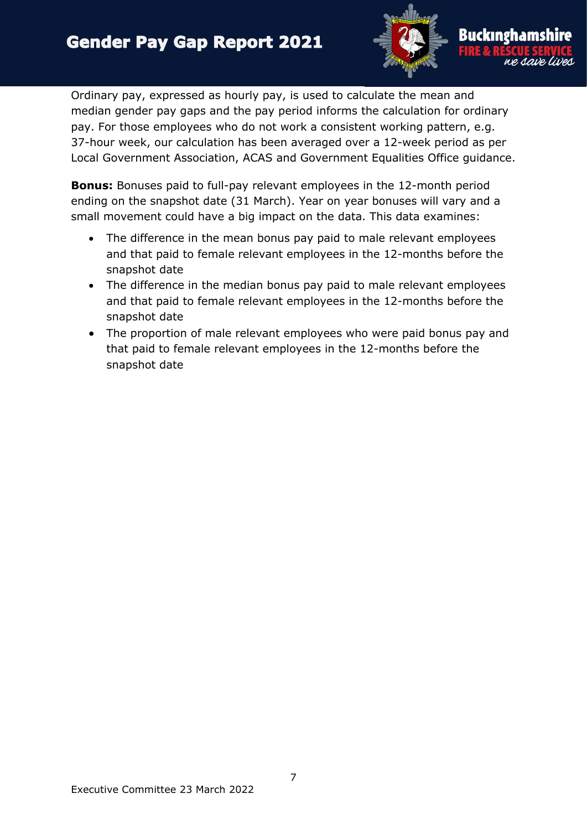

Ordinary pay, expressed as hourly pay, is used to calculate the mean and median gender pay gaps and the pay period informs the calculation for ordinary pay. For those employees who do not work a consistent working pattern, e.g. 37-hour week, our calculation has been averaged over a 12-week period as per Local Government Association, ACAS and Government Equalities Office guidance.

**Bonus:** Bonuses paid to full-pay relevant employees in the 12-month period ending on the snapshot date (31 March). Year on year bonuses will vary and a small movement could have a big impact on the data. This data examines:

- The difference in the mean bonus pay paid to male relevant employees and that paid to female relevant employees in the 12-months before the snapshot date
- The difference in the median bonus pay paid to male relevant employees and that paid to female relevant employees in the 12-months before the snapshot date
- The proportion of male relevant employees who were paid bonus pay and that paid to female relevant employees in the 12-months before the snapshot date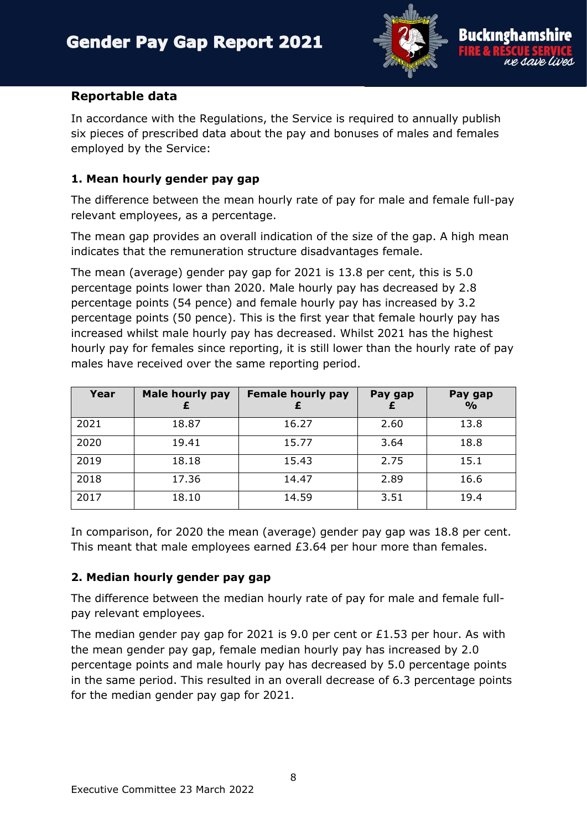

#### **Reportable data**

In accordance with the Regulations, the Service is required to annually publish six pieces of prescribed data about the pay and bonuses of males and females employed by the Service:

### **1. Mean hourly gender pay gap**

The difference between the mean hourly rate of pay for male and female full-pay relevant employees, as a percentage.

The mean gap provides an overall indication of the size of the gap. A high mean indicates that the remuneration structure disadvantages female.

The mean (average) gender pay gap for 2021 is 13.8 per cent, this is 5.0 percentage points lower than 2020. Male hourly pay has decreased by 2.8 percentage points (54 pence) and female hourly pay has increased by 3.2 percentage points (50 pence). This is the first year that female hourly pay has increased whilst male hourly pay has decreased. Whilst 2021 has the highest hourly pay for females since reporting, it is still lower than the hourly rate of pay males have received over the same reporting period.

| Year | <b>Male hourly pay</b> | <b>Female hourly pay</b> | Pay gap | Pay gap<br>$\frac{6}{6}$ |
|------|------------------------|--------------------------|---------|--------------------------|
| 2021 | 18.87                  | 16.27                    | 2.60    | 13.8                     |
| 2020 | 19.41                  | 15.77                    | 3.64    | 18.8                     |
| 2019 | 18.18                  | 15.43                    | 2.75    | 15.1                     |
| 2018 | 17.36                  | 14.47                    | 2.89    | 16.6                     |
| 2017 | 18.10                  | 14.59                    | 3.51    | 19.4                     |

In comparison, for 2020 the mean (average) gender pay gap was 18.8 per cent. This meant that male employees earned £3.64 per hour more than females.

#### **2. Median hourly gender pay gap**

The difference between the median hourly rate of pay for male and female fullpay relevant employees.

The median gender pay gap for 2021 is 9.0 per cent or £1.53 per hour. As with the mean gender pay gap, female median hourly pay has increased by 2.0 percentage points and male hourly pay has decreased by 5.0 percentage points in the same period. This resulted in an overall decrease of 6.3 percentage points for the median gender pay gap for 2021.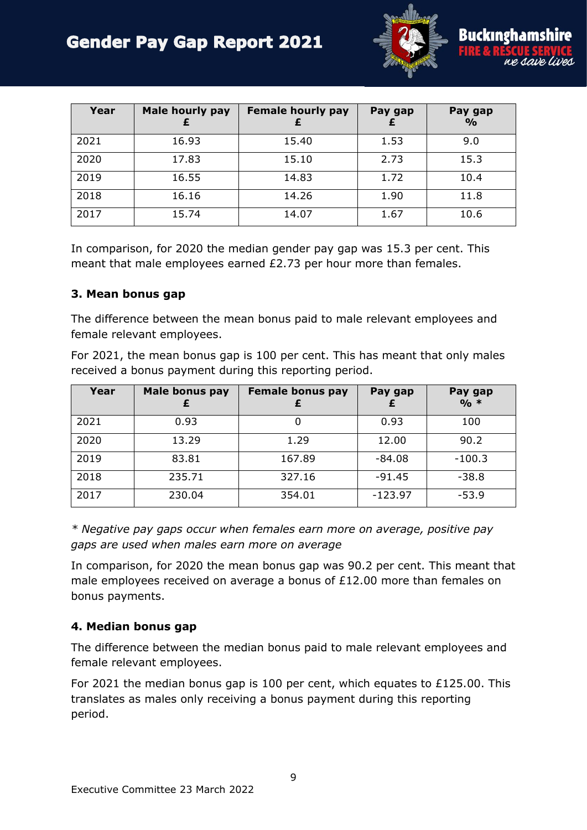

| Year | <b>Male hourly pay</b> | <b>Female hourly pay</b> | Pay gap | Pay gap<br>$\frac{0}{0}$ |
|------|------------------------|--------------------------|---------|--------------------------|
| 2021 | 16.93                  | 15.40                    | 1.53    | 9.0                      |
| 2020 | 17.83                  | 15.10                    | 2.73    | 15.3                     |
| 2019 | 16.55                  | 14.83                    | 1.72    | 10.4                     |
| 2018 | 16.16                  | 14.26                    | 1.90    | 11.8                     |
| 2017 | 15.74                  | 14.07                    | 1.67    | 10.6                     |

In comparison, for 2020 the median gender pay gap was 15.3 per cent. This meant that male employees earned £2.73 per hour more than females.

#### **3. Mean bonus gap**

The difference between the mean bonus paid to male relevant employees and female relevant employees.

For 2021, the mean bonus gap is 100 per cent. This has meant that only males received a bonus payment during this reporting period.

| Year | Male bonus pay | <b>Female bonus pay</b> | Pay gap   | Pay gap<br>$0/0 *$ |
|------|----------------|-------------------------|-----------|--------------------|
| 2021 | 0.93           | 0                       | 0.93      | 100                |
| 2020 | 13.29          | 1.29                    | 12.00     | 90.2               |
| 2019 | 83.81          | 167.89                  | -84.08    | $-100.3$           |
| 2018 | 235.71         | 327.16                  | $-91.45$  | $-38.8$            |
| 2017 | 230.04         | 354.01                  | $-123.97$ | $-53.9$            |

*\* Negative pay gaps occur when females earn more on average, positive pay gaps are used when males earn more on average*

In comparison, for 2020 the mean bonus gap was 90.2 per cent. This meant that male employees received on average a bonus of £12.00 more than females on bonus payments.

#### **4. Median bonus gap**

The difference between the median bonus paid to male relevant employees and female relevant employees.

For 2021 the median bonus gap is 100 per cent, which equates to £125.00. This translates as males only receiving a bonus payment during this reporting period.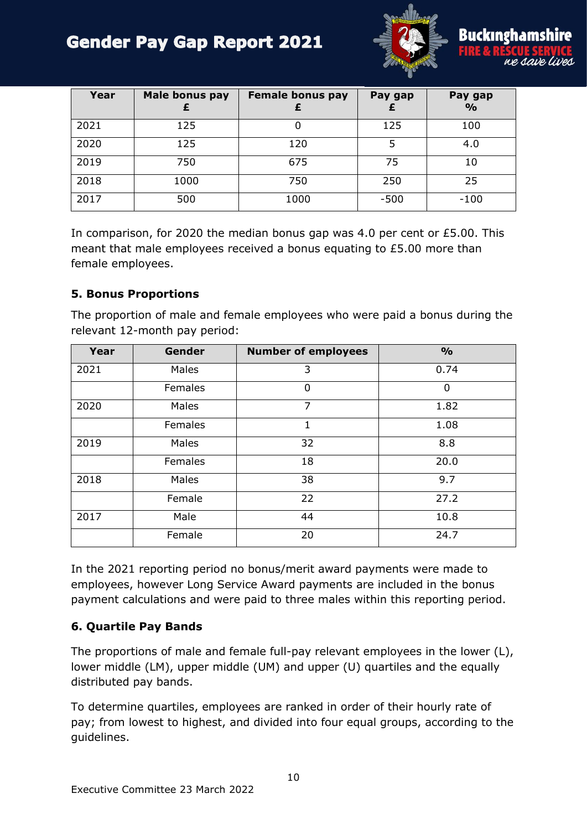

| Year | Male bonus pay | <b>Female bonus pay</b> | Pay gap | Pay gap<br>$\frac{6}{6}$ |
|------|----------------|-------------------------|---------|--------------------------|
| 2021 | 125            |                         | 125     | 100                      |
| 2020 | 125            | 120                     |         | 4.0                      |
| 2019 | 750            | 675                     | 75      | 10                       |
| 2018 | 1000           | 750                     | 250     | 25                       |
| 2017 | 500            | 1000                    | $-500$  | $-100$                   |

In comparison, for 2020 the median bonus gap was 4.0 per cent or £5.00. This meant that male employees received a bonus equating to £5.00 more than female employees.

#### **5. Bonus Proportions**

The proportion of male and female employees who were paid a bonus during the relevant 12-month pay period:

| Year | <b>Gender</b> | <b>Number of employees</b> | $\frac{1}{2}$ |
|------|---------------|----------------------------|---------------|
| 2021 | Males         | 3                          | 0.74          |
|      | Females       | 0                          | $\Omega$      |
| 2020 | Males         | 7                          | 1.82          |
|      | Females       | 1                          | 1.08          |
| 2019 | Males         | 32                         | 8.8           |
|      | Females       | 18                         | 20.0          |
| 2018 | Males         | 38                         | 9.7           |
|      | Female        | 22                         | 27.2          |
| 2017 | Male          | 44                         | 10.8          |
|      | Female        | 20                         | 24.7          |

In the 2021 reporting period no bonus/merit award payments were made to employees, however Long Service Award payments are included in the bonus payment calculations and were paid to three males within this reporting period.

#### **6. Quartile Pay Bands**

The proportions of male and female full-pay relevant employees in the lower (L), lower middle (LM), upper middle (UM) and upper (U) quartiles and the equally distributed pay bands.

To determine quartiles, employees are ranked in order of their hourly rate of pay; from lowest to highest, and divided into four equal groups, according to the guidelines.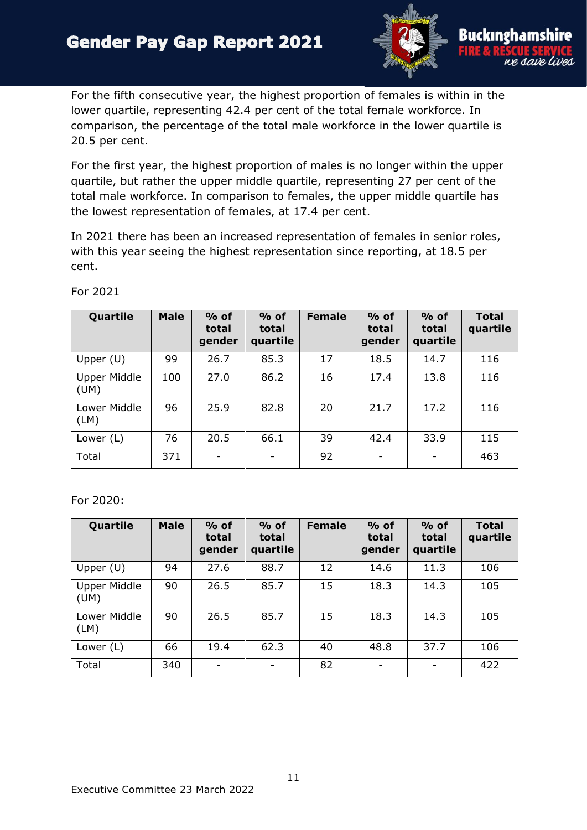

For the fifth consecutive year, the highest proportion of females is within in the lower quartile, representing 42.4 per cent of the total female workforce. In comparison, the percentage of the total male workforce in the lower quartile is 20.5 per cent.

For the first year, the highest proportion of males is no longer within the upper quartile, but rather the upper middle quartile, representing 27 per cent of the total male workforce. In comparison to females, the upper middle quartile has the lowest representation of females, at 17.4 per cent.

In 2021 there has been an increased representation of females in senior roles, with this year seeing the highest representation since reporting, at 18.5 per cent.

| Quartile                    | <b>Male</b> | $%$ of<br>total<br>gender | $%$ of<br>total<br>quartile | <b>Female</b> | $%$ of<br>total<br>gender | $%$ of<br>total<br>quartile | <b>Total</b><br>quartile |
|-----------------------------|-------------|---------------------------|-----------------------------|---------------|---------------------------|-----------------------------|--------------------------|
| Upper $(U)$                 | 99          | 26.7                      | 85.3                        | 17            | 18.5                      | 14.7                        | 116                      |
| <b>Upper Middle</b><br>(UM) | 100         | 27.0                      | 86.2                        | 16            | 17.4                      | 13.8                        | 116                      |
| Lower Middle<br>(LM)        | 96          | 25.9                      | 82.8                        | 20            | 21.7                      | 17.2                        | 116                      |
| Lower $(L)$                 | 76          | 20.5                      | 66.1                        | 39            | 42.4                      | 33.9                        | 115                      |
| Total                       | 371         | $\overline{\phantom{a}}$  |                             | 92            | -                         | $\overline{\phantom{0}}$    | 463                      |

For 2021

For 2020:

| Quartile                    | <b>Male</b> | $%$ of<br>total<br>gender | $%$ of<br>total<br>quartile | <b>Female</b> | $%$ of<br>total<br>gender | $%$ of<br>total<br>quartile | <b>Total</b><br>quartile |
|-----------------------------|-------------|---------------------------|-----------------------------|---------------|---------------------------|-----------------------------|--------------------------|
| Upper $(U)$                 | 94          | 27.6                      | 88.7                        | 12            | 14.6                      | 11.3                        | 106                      |
| <b>Upper Middle</b><br>(UM) | 90          | 26.5                      | 85.7                        | 15            | 18.3                      | 14.3                        | 105                      |
| Lower Middle<br>(LM)        | 90          | 26.5                      | 85.7                        | 15            | 18.3                      | 14.3                        | 105                      |
| Lower $(L)$                 | 66          | 19.4                      | 62.3                        | 40            | 48.8                      | 37.7                        | 106                      |
| Total                       | 340         |                           |                             | 82            |                           |                             | 422                      |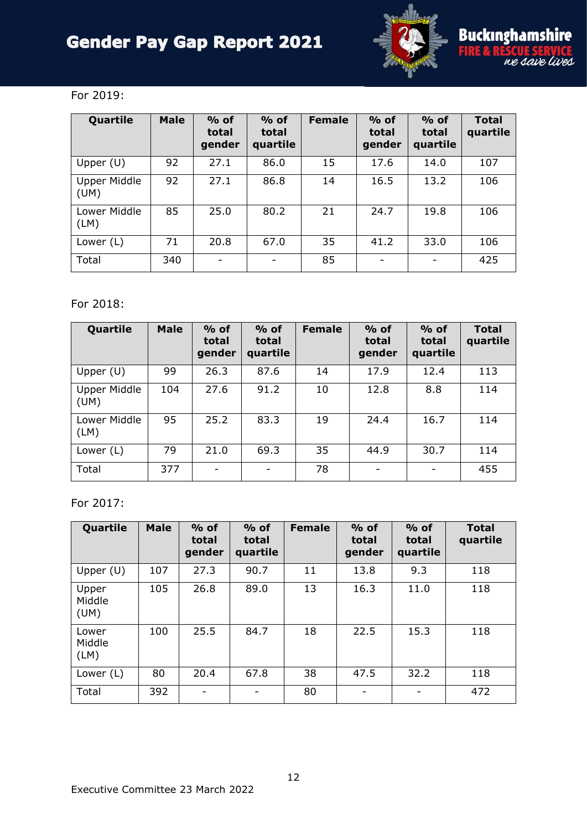

e save lives

### For 2019:

| Quartile                    | <b>Male</b> | $%$ of<br>total<br>gender | $%$ of<br>total<br>quartile | <b>Female</b> | $%$ of<br>total<br>gender    | $%$ of<br>total<br>quartile | <b>Total</b><br>quartile |
|-----------------------------|-------------|---------------------------|-----------------------------|---------------|------------------------------|-----------------------------|--------------------------|
| Upper $(U)$                 | 92          | 27.1                      | 86.0                        | 15            | 17.6                         | 14.0                        | 107                      |
| <b>Upper Middle</b><br>(UM) | 92          | 27.1                      | 86.8                        | 14            | 16.5                         | 13.2                        | 106                      |
| Lower Middle<br>(LM)        | 85          | 25.0                      | 80.2                        | 21            | 24.7                         | 19.8                        | 106                      |
| Lower (L)                   | 71          | 20.8                      | 67.0                        | 35            | 41.2                         | 33.0                        | 106                      |
| Total                       | 340         | $\overline{\phantom{0}}$  | $\overline{\phantom{0}}$    | 85            | $\qquad \qquad \blacksquare$ | -                           | 425                      |

### For 2018:

| Quartile                    | <b>Male</b> | $%$ of<br>total<br>gender | $%$ of<br>total<br>quartile | <b>Female</b> | $%$ of<br>total<br>gender | $%$ of<br>total<br>quartile | <b>Total</b><br>quartile |
|-----------------------------|-------------|---------------------------|-----------------------------|---------------|---------------------------|-----------------------------|--------------------------|
| Upper $(U)$                 | 99          | 26.3                      | 87.6                        | 14            | 17.9                      | 12.4                        | 113                      |
| <b>Upper Middle</b><br>(UM) | 104         | 27.6                      | 91.2                        | 10            | 12.8                      | 8.8                         | 114                      |
| Lower Middle<br>(LM)        | 95          | 25.2                      | 83.3                        | 19            | 24.4                      | 16.7                        | 114                      |
| Lower $(L)$                 | 79          | 21.0                      | 69.3                        | 35            | 44.9                      | 30.7                        | 114                      |
| Total                       | 377         | $\overline{\phantom{a}}$  |                             | 78            |                           |                             | 455                      |

#### For 2017:

| Quartile                | <b>Male</b> | $%$ of<br>total<br>gender    | $%$ of<br>total<br>quartile | <b>Female</b> | $%$ of<br>total<br>gender | $%$ of<br>total<br>quartile | <b>Total</b><br>quartile |
|-------------------------|-------------|------------------------------|-----------------------------|---------------|---------------------------|-----------------------------|--------------------------|
| Upper $(U)$             | 107         | 27.3                         | 90.7                        | 11            | 13.8                      | 9.3                         | 118                      |
| Upper<br>Middle<br>(UM) | 105         | 26.8                         | 89.0                        | 13            | 16.3                      | 11.0                        | 118                      |
| Lower<br>Middle<br>(LM) | 100         | 25.5                         | 84.7                        | 18            | 22.5                      | 15.3                        | 118                      |
| Lower $(L)$             | 80          | 20.4                         | 67.8                        | 38            | 47.5                      | 32.2                        | 118                      |
| Total                   | 392         | $\qquad \qquad \blacksquare$ |                             | 80            |                           |                             | 472                      |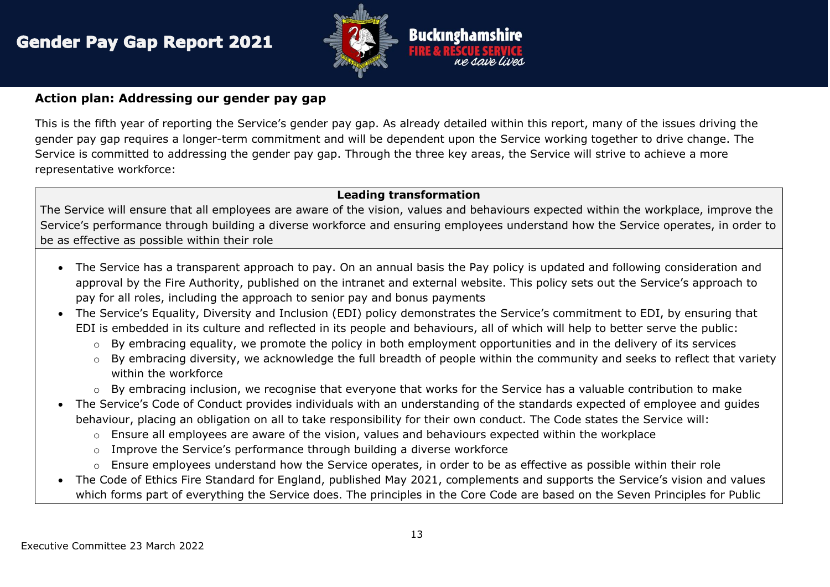

#### **Action plan: Addressing our gender pay gap**

This is the fifth year of reporting the Service's gender pay gap. As already detailed within this report, many of the issues driving the gender pay gap requires a longer-term commitment and will be dependent upon the Service working together to drive change. The Service is committed to addressing the gender pay gap. Through the three key areas, the Service will strive to achieve a more representative workforce:

#### **Leading transformation**

The Service will ensure that all employees are aware of the vision, values and behaviours expected within the workplace, improve the Service's performance through building a diverse workforce and ensuring employees understand how the Service operates, in order to be as effective as possible within their role

- The Service has a transparent approach to pay. On an annual basis the Pay policy is updated and following consideration and approval by the Fire Authority, published on the intranet and external website. This policy sets out the Service's approach to pay for all roles, including the approach to senior pay and bonus payments
- The Service's Equality, Diversity and Inclusion (EDI) policy demonstrates the Service's commitment to EDI, by ensuring that EDI is embedded in its culture and reflected in its people and behaviours, all of which will help to better serve the public:
	- $\circ$  By embracing equality, we promote the policy in both employment opportunities and in the delivery of its services
	- $\circ$  By embracing diversity, we acknowledge the full breadth of people within the community and seeks to reflect that variety within the workforce
	- o By embracing inclusion, we recognise that everyone that works for the Service has a valuable contribution to make
- The Service's Code of Conduct provides individuals with an understanding of the standards expected of employee and guides behaviour, placing an obligation on all to take responsibility for their own conduct. The Code states the Service will:
	- o Ensure all employees are aware of the vision, values and behaviours expected within the workplace
	- $\circ$  Improve the Service's performance through building a diverse workforce
	- o Ensure employees understand how the Service operates, in order to be as effective as possible within their role
- The Code of Ethics Fire Standard for England, published May 2021, complements and supports the Service's vision and values which forms part of everything the Service does. The principles in the Core Code are based on the Seven Principles for Public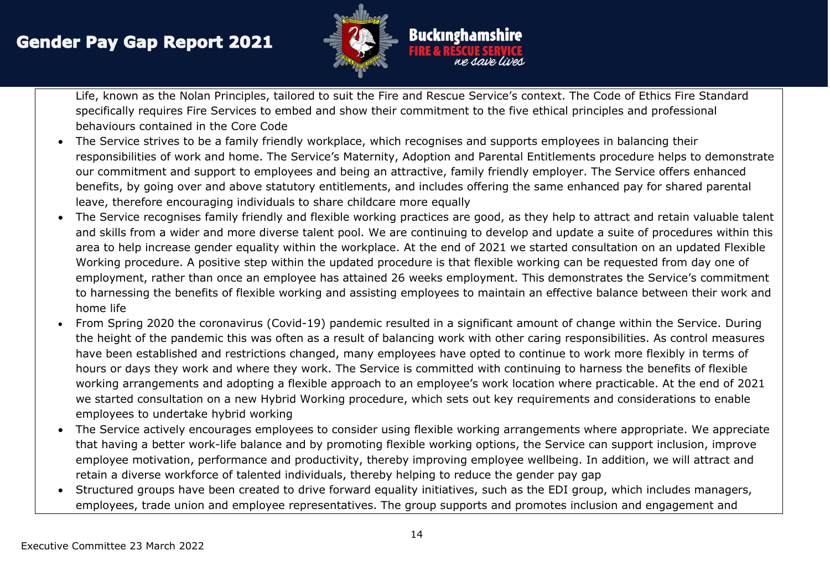

Life, known as the Nolan Principles, tailored to suit the Fire and Rescue Service's context. The Code of Ethics Fire Standard specifically requires Fire Services to embed and show their commitment to the five ethical principles and professional behaviours contained in the Core Code

- The Service strives to be a family friendly workplace, which recognises and supports employees in balancing their responsibilities of work and home. The Service's Maternity, Adoption and Parental Entitlements procedure helps to demonstrate our commitment and support to employees and being an attractive, family friendly employer. The Service offers enhanced benefits, by going over and above statutory entitlements, and includes offering the same enhanced pay for shared parental leave, therefore encouraging individuals to share childcare more equally
- The Service recognises family friendly and flexible working practices are good, as they help to attract and retain valuable talent and skills from a wider and more diverse talent pool. We are continuing to develop and update a suite of procedures within this area to help increase gender equality within the workplace. At the end of 2021 we started consultation on an updated Flexible Working procedure. A positive step within the updated procedure is that flexible working can be requested from day one of employment, rather than once an employee has attained 26 weeks employment. This demonstrates the Service's commitment to harnessing the benefits of flexible working and assisting employees to maintain an effective balance between their work and home life
- From Spring 2020 the coronavirus (Covid-19) pandemic resulted in a significant amount of change within the Service. During the height of the pandemic this was often as a result of balancing work with other caring responsibilities. As control measures have been established and restrictions changed, many employees have opted to continue to work more flexibly in terms of hours or days they work and where they work. The Service is committed with continuing to harness the benefits of flexible working arrangements and adopting a flexible approach to an employee's work location where practicable. At the end of 2021 we started consultation on a new Hybrid Working procedure, which sets out key requirements and considerations to enable employees to undertake hybrid working
- The Service actively encourages employees to consider using flexible working arrangements where appropriate. We appreciate that having a better work-life balance and by promoting flexible working options, the Service can support inclusion, improve employee motivation, performance and productivity, thereby improving employee wellbeing. In addition, we will attract and retain a diverse workforce of talented individuals, thereby helping to reduce the gender pay gap
- Structured groups have been created to drive forward equality initiatives, such as the EDI group, which includes managers, employees, trade union and employee representatives. The group supports and promotes inclusion and engagement and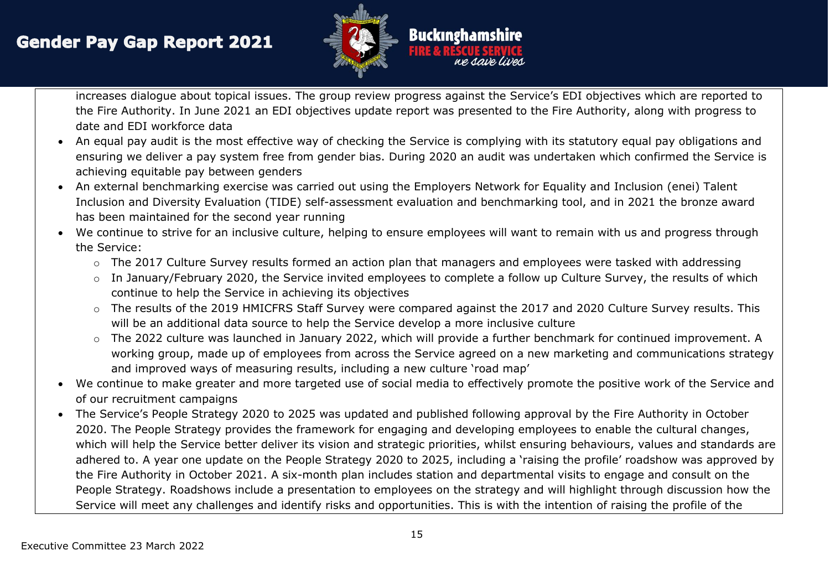

increases dialogue about topical issues. The group review progress against the Service's EDI objectives which are reported to the Fire Authority. In June 2021 an EDI objectives update report was presented to the Fire Authority, along with progress to date and EDI workforce data

- An equal pay audit is the most effective way of checking the Service is complying with its statutory equal pay obligations and ensuring we deliver a pay system free from gender bias. During 2020 an audit was undertaken which confirmed the Service is achieving equitable pay between genders
- An external benchmarking exercise was carried out using the Employers Network for Equality and Inclusion (enei) Talent Inclusion and Diversity Evaluation (TIDE) self-assessment evaluation and benchmarking tool, and in 2021 the bronze award has been maintained for the second year running
- We continue to strive for an inclusive culture, helping to ensure employees will want to remain with us and progress through the Service:
	- o The 2017 Culture Survey results formed an action plan that managers and employees were tasked with addressing
	- o In January/February 2020, the Service invited employees to complete a follow up Culture Survey, the results of which continue to help the Service in achieving its objectives
	- o The results of the 2019 HMICFRS Staff Survey were compared against the 2017 and 2020 Culture Survey results. This will be an additional data source to help the Service develop a more inclusive culture
	- o The 2022 culture was launched in January 2022, which will provide a further benchmark for continued improvement. A working group, made up of employees from across the Service agreed on a new marketing and communications strategy and improved ways of measuring results, including a new culture 'road map'
- We continue to make greater and more targeted use of social media to effectively promote the positive work of the Service and of our recruitment campaigns
- The Service's People Strategy 2020 to 2025 was updated and published following approval by the Fire Authority in October 2020. The People Strategy provides the framework for engaging and developing employees to enable the cultural changes, which will help the Service better deliver its vision and strategic priorities, whilst ensuring behaviours, values and standards are adhered to. A year one update on the People Strategy 2020 to 2025, including a 'raising the profile' roadshow was approved by the Fire Authority in October 2021. A six-month plan includes station and departmental visits to engage and consult on the People Strategy. Roadshows include a presentation to employees on the strategy and will highlight through discussion how the Service will meet any challenges and identify risks and opportunities. This is with the intention of raising the profile of the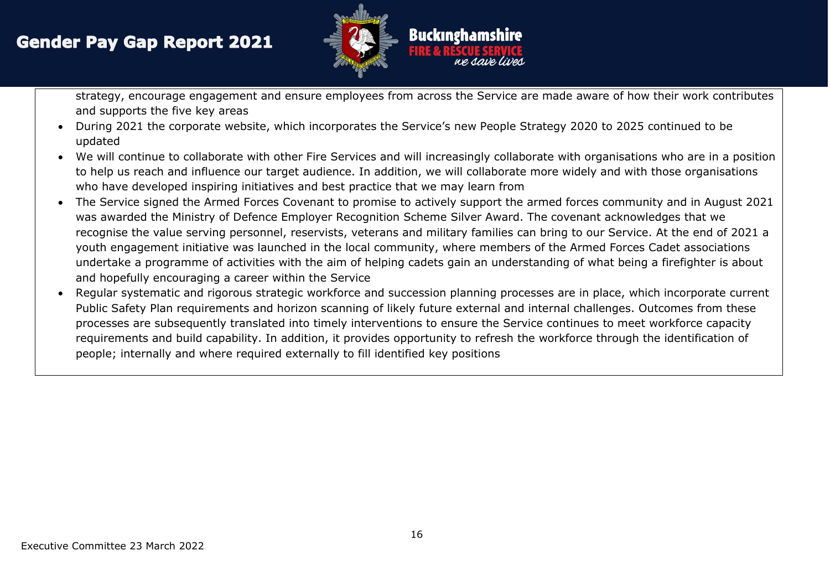

strategy, encourage engagement and ensure employees from across the Service are made aware of how their work contributes and supports the five key areas

- During 2021 the corporate website, which incorporates the Service's new People Strategy 2020 to 2025 continued to be updated
- We will continue to collaborate with other Fire Services and will increasingly collaborate with organisations who are in a position to help us reach and influence our target audience. In addition, we will collaborate more widely and with those organisations who have developed inspiring initiatives and best practice that we may learn from
- The Service signed the Armed Forces Covenant to promise to actively support the armed forces community and in August 2021 was awarded the Ministry of Defence Employer Recognition Scheme Silver Award. The covenant acknowledges that we recognise the value serving personnel, reservists, veterans and military families can bring to our Service. At the end of 2021 a youth engagement initiative was launched in the local community, where members of the Armed Forces Cadet associations undertake a programme of activities with the aim of helping cadets gain an understanding of what being a firefighter is about and hopefully encouraging a career within the Service
- Regular systematic and rigorous strategic workforce and succession planning processes are in place, which incorporate current Public Safety Plan requirements and horizon scanning of likely future external and internal challenges. Outcomes from these processes are subsequently translated into timely interventions to ensure the Service continues to meet workforce capacity requirements and build capability. In addition, it provides opportunity to refresh the workforce through the identification of people; internally and where required externally to fill identified key positions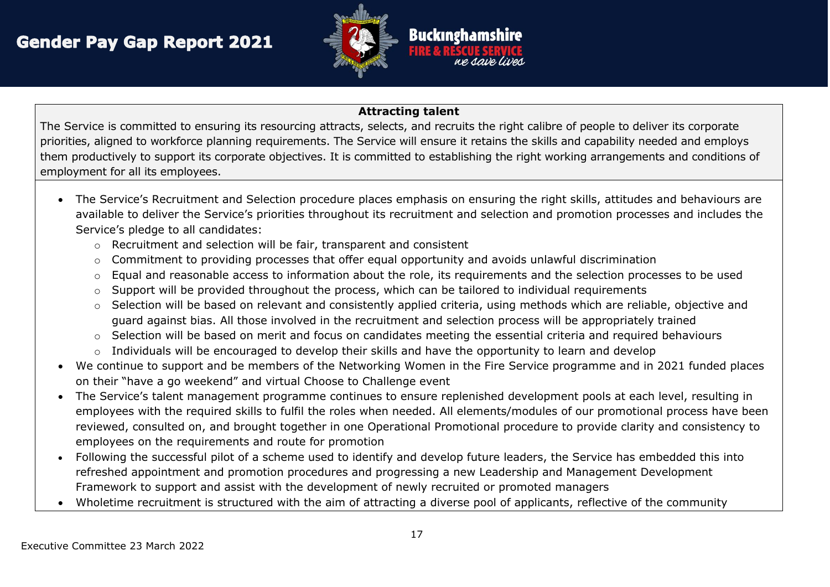

#### **Attracting talent**

The Service is committed to ensuring its resourcing attracts, selects, and recruits the right calibre of people to deliver its corporate priorities, aligned to workforce planning requirements. The Service will ensure it retains the skills and capability needed and employs them productively to support its corporate objectives. It is committed to establishing the right working arrangements and conditions of employment for all its employees.

- The Service's Recruitment and Selection procedure places emphasis on ensuring the right skills, attitudes and behaviours are available to deliver the Service's priorities throughout its recruitment and selection and promotion processes and includes the Service's pledge to all candidates:
	- o Recruitment and selection will be fair, transparent and consistent
	- o Commitment to providing processes that offer equal opportunity and avoids unlawful discrimination
	- o Equal and reasonable access to information about the role, its requirements and the selection processes to be used
	- o Support will be provided throughout the process, which can be tailored to individual requirements
	- o Selection will be based on relevant and consistently applied criteria, using methods which are reliable, objective and guard against bias. All those involved in the recruitment and selection process will be appropriately trained
	- o Selection will be based on merit and focus on candidates meeting the essential criteria and required behaviours
	- $\circ$  Individuals will be encouraged to develop their skills and have the opportunity to learn and develop
- We continue to support and be members of the Networking Women in the Fire Service programme and in 2021 funded places on their "have a go weekend" and virtual Choose to Challenge event
- The Service's talent management programme continues to ensure replenished development pools at each level, resulting in employees with the required skills to fulfil the roles when needed. All elements/modules of our promotional process have been reviewed, consulted on, and brought together in one Operational Promotional procedure to provide clarity and consistency to employees on the requirements and route for promotion
- Following the successful pilot of a scheme used to identify and develop future leaders, the Service has embedded this into refreshed appointment and promotion procedures and progressing a new Leadership and Management Development Framework to support and assist with the development of newly recruited or promoted managers
- Wholetime recruitment is structured with the aim of attracting a diverse pool of applicants, reflective of the community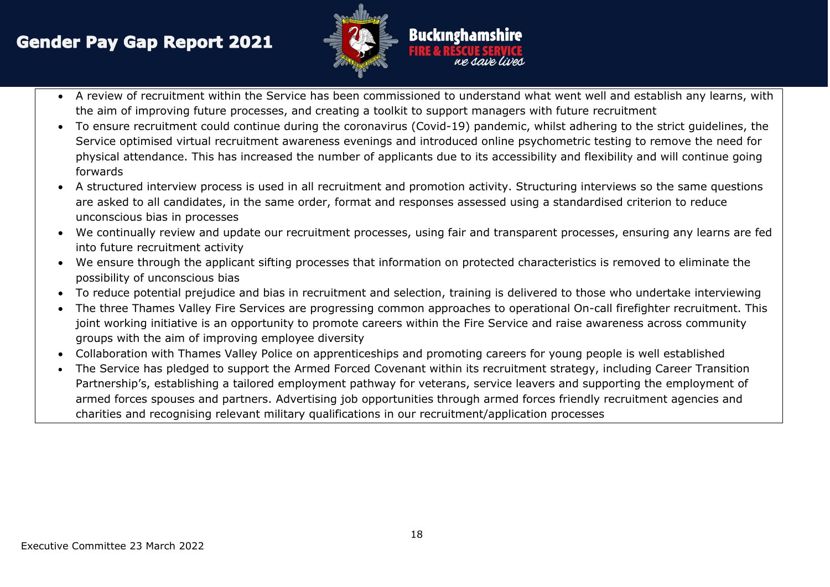

- A review of recruitment within the Service has been commissioned to understand what went well and establish any learns, with the aim of improving future processes, and creating a toolkit to support managers with future recruitment
- To ensure recruitment could continue during the coronavirus (Covid-19) pandemic, whilst adhering to the strict guidelines, the Service optimised virtual recruitment awareness evenings and introduced online psychometric testing to remove the need for physical attendance. This has increased the number of applicants due to its accessibility and flexibility and will continue going forwards
- A structured interview process is used in all recruitment and promotion activity. Structuring interviews so the same questions are asked to all candidates, in the same order, format and responses assessed using a standardised criterion to reduce unconscious bias in processes
- We continually review and update our recruitment processes, using fair and transparent processes, ensuring any learns are fed into future recruitment activity
- We ensure through the applicant sifting processes that information on protected characteristics is removed to eliminate the possibility of unconscious bias
- To reduce potential prejudice and bias in recruitment and selection, training is delivered to those who undertake interviewing
- The three Thames Valley Fire Services are progressing common approaches to operational On-call firefighter recruitment. This joint working initiative is an opportunity to promote careers within the Fire Service and raise awareness across community groups with the aim of improving employee diversity
- Collaboration with Thames Valley Police on apprenticeships and promoting careers for young people is well established
- The Service has pledged to support the Armed Forced Covenant within its recruitment strategy, including Career Transition Partnership's, establishing a tailored employment pathway for veterans, service leavers and supporting the employment of armed forces spouses and partners. Advertising job opportunities through armed forces friendly recruitment agencies and charities and recognising relevant military qualifications in our recruitment/application processes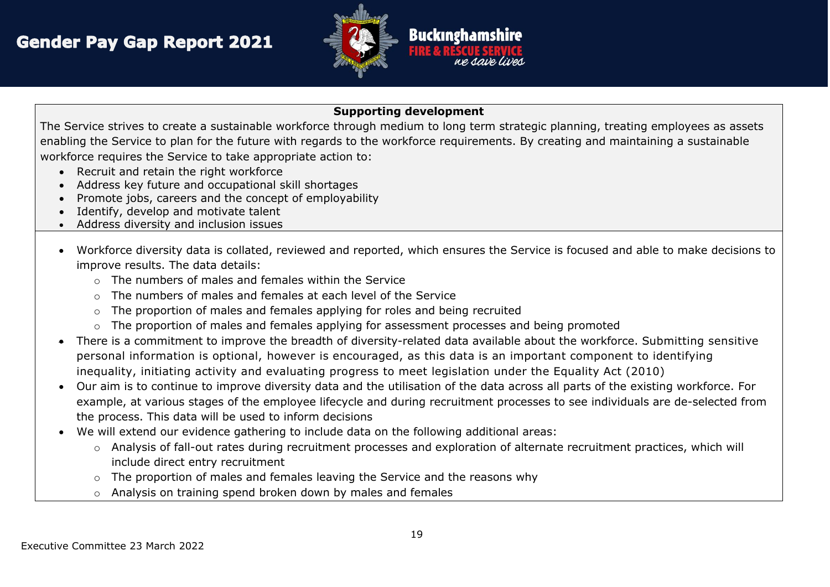

#### **Supporting development**

The Service strives to create a sustainable workforce through medium to long term strategic planning, treating employees as assets enabling the Service to plan for the future with regards to the workforce requirements. By creating and maintaining a sustainable workforce requires the Service to take appropriate action to:

- Recruit and retain the right workforce
- Address key future and occupational skill shortages
- Promote jobs, careers and the concept of employability
- Identify, develop and motivate talent
- Address diversity and inclusion issues
- Workforce diversity data is collated, reviewed and reported, which ensures the Service is focused and able to make decisions to improve results. The data details:
	- $\circ$  The numbers of males and females within the Service
	- o The numbers of males and females at each level of the Service
	- o The proportion of males and females applying for roles and being recruited
	- $\circ$  The proportion of males and females applying for assessment processes and being promoted
- There is a commitment to improve the breadth of diversity-related data available about the workforce. Submitting sensitive personal information is optional, however is encouraged, as this data is an important component to identifying inequality, initiating activity and evaluating progress to meet legislation under the Equality Act (2010)
- Our aim is to continue to improve diversity data and the utilisation of the data across all parts of the existing workforce. For example, at various stages of the employee lifecycle and during recruitment processes to see individuals are de-selected from the process. This data will be used to inform decisions
- We will extend our evidence gathering to include data on the following additional areas:
	- o Analysis of fall-out rates during recruitment processes and exploration of alternate recruitment practices, which will include direct entry recruitment
	- o The proportion of males and females leaving the Service and the reasons why
	- o Analysis on training spend broken down by males and females